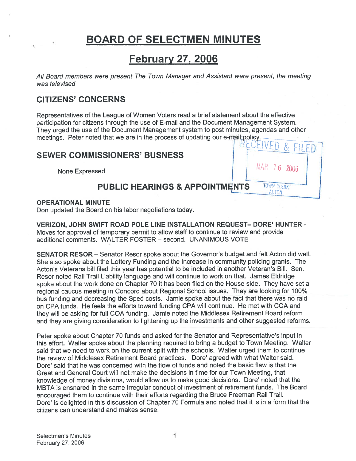# BOARD OF SELECTMEN MINUTES

# February 27, 2006

All Board members were presen<sup>t</sup> The Town Manager and Assistant were present, the meeting was televised

## CITIZENS' CONCERNS

Representatives of the League of Women Voters read <sup>a</sup> brief statement about the effective participation for citizens through the use of E-mail and the Document Management System. They urged the use of the Document Management system to pos<sup>t</sup> minutes, agendas and other meetings. Peter noted that we are in the process of updating our e-mail-policy.

'

FILED

MAR 16 2006

**TOWN CLERK ACTON** 

## SEWER COMMISSIONERS' BUSNESS

None Expressed

## PUBLIC HEARINGS & APPOINTMENTS

### OPERATIONAL MINUTE

Don updated the Board on his labor negotiations today.

VERIZON, JOHN SWIFT ROAD POLE LINE INSTALLATION REQUEST— DORE' HUNTER - Moves for approval of temporary permit to allow staff to continue to review and provide additional comments. WALTER FOSTER — second. UNANIMOUS VOTE

SENATOR RESOR — Senator Resor spoke about the Governor's budget and felt Acton did well. She also spoke about the Lottery Funding and the Increase in community policing grants. The Acton's Veterans bill filed this year has potential to be included in another Veteran's Bill. Sen. Resor noted Rail Trail Liability language and will continue to work on that. James Eldridge spoke about the work done on Chapter 70 it has been filed on the House side. They have set <sup>a</sup> regional caucus meeting in Concord about Regional School issues. They are looking for 100% bus funding and decreasing the Sped costs. Jamie spoke about the fact that there was no raid on CPA funds. He feels the efforts toward funding CPA will continue. He met with COA and they will be asking for full COA funding. Jamie noted the Middlesex Retirement Board reform and they are <sup>g</sup>iving consideration to tightening up the investments and other suggested reforms.

Peter spoke about Chapter 70 funds and asked for the Senator and Representative's input in this effort. Walter spoke about the planning required to bring <sup>a</sup> budget to Town Meeting. Walter said that we need to work on the current split with the schools. Walter urged them to continue the review of Middlesex Retirement Board practices. Dore' agreed with what Walter said. Dore' said that he was concerned with the flow of funds and noted the basic flaw is that the Great and General Court will not make the decisions in time for our Town Meeting, that knowledge of money divisions, would allow us to make goo<sup>d</sup> decisions. Dore' noted that the MBTA is ensnared in the same irregular conduct of investment of retirement funds. The Board encouraged them to continue with their efforts regarding the Bruce Freeman Rail Trail. Dore' is delighted in this discussion of Chapter 70 Formula and noted that it is in a form that the citizens can understand and makes sense.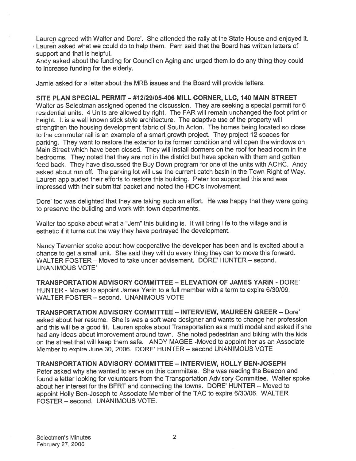Lauren agreed with Walter and Dore'. She attended the rally at the State House and enjoyed it. • Lauren asked what we could do to help them. Pam said that the Board has written letters of suppor<sup>t</sup> and that is helpful.

Andy asked about the funding for Council on Aging and urged them to do any thing they could to increase funding for the elderly.

Jamie asked for <sup>a</sup> letter about the MRB issues and the Board will provide letters.

SITE PLAN SPECIAL PERMIT — #12129105-406 MILL CORNER, LLC, 140 MAIN STREET Walter as Selectman assigned opened the discussion. They are seeking <sup>a</sup> special permit for 6 residential units. 4 Units are allowed by right. The FAR will remain unchanged the foot print or height. It is <sup>a</sup> well known stick style architecture. The adaptive use of the property will strengthen the housing development fabric of South Acton. The homes being located so close to the commuter rail is an example of <sup>a</sup> smart growth project. They project 12 spaces for parking. They want to restore the exterior to its former condition and will open the windows on Main Street which have been closed. They will install dormers on the roof for head room in the bedrooms. They noted that they are not in the district but have spoken with them and gotten feed back. They have discussed the Buy Down program for one of the units with ACHC. Andy asked about run off. The parking lot will use the current catch basin in the Town Right of Way. Lauren applauded their efforts to restore this building. Peter too supported this and was impressed with their submittal packet and noted the HDC's involvement.

Dore' too was delighted that they are taking such an effort. He was happy that they were going to preserve the building and work with town departments.

Walter too spoke about what <sup>a</sup> "Jem" this building is. It will bring life to the village and is esthetic if it turns out the way they have portrayed the development.

Nancy Tavernier spoke about how cooperative the developer has been and is excited about <sup>a</sup> chance to ge<sup>t</sup> <sup>a</sup> small unit. She said they will do every thing they can to move this forward. WALTER FOSTER — Moved to take under advisement. DORE' HUNTER — second. UNANIMOUS VOTE'

TRANSPORTATION ADVISORY COMMITTEE -ELEVATION OF JAMES YARIN - DORE' HUNTER - Moved to appoint James Yarin to <sup>a</sup> full member with <sup>a</sup> term to expire 6/30/09. WALTER FOSTER — second. UNANIMOUS VOTE

TRANSPORTATION ADVISORY COMMITTEE - INTERVIEW, MAUREEN GREER - Dore' asked about her resume. She is was <sup>a</sup> soft ware designer and wants to change her profession and this will be <sup>a</sup> good fit. Lauren spoke about Transportation as <sup>a</sup> multi modal and asked if she had any ideas about improvement around town. She noted pedestrian and biking with the kids on the street that will keep them safe. ANDY MAGEE -Moved to appoint her as an Associate Member to expire June 30, 2006. DORE' HUNTER — second UNANIMOUS VOTE

TRANSPORTATION ADVISORY COMMITTEE — INTERVIEW, HOLLY BEN-JOSEPH Peter asked why she wanted to serve on this committee. She was reading the Beacon and found <sup>a</sup> letter looking for volunteers from the Transportation Advisory Committee. Walter spoke about her interest for the BFRT and connecting the towns. DORE' HUNTER — Moved to appoint Holly Ben-Joseph to Associate Member of the TAC to expire 6/30/06. WALTER FOSTER — second. UNANIMOUS VOTE.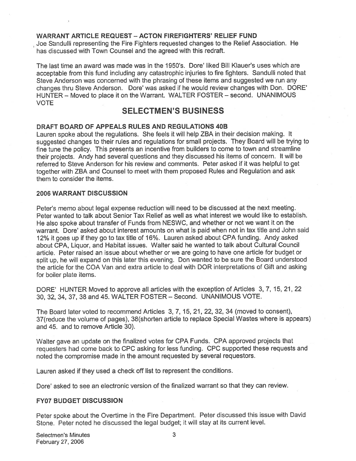### WARRANT ARTICLE REQUEST — ACTON FIREFIGHTERS' RELIEF FUND

Joe Sanduili representing the Fire Fighters requested changes to the Relief Association. He has discussed with Town Counsel and the agreed with this redraft.

The last time an award was made was in the 1950's. Dore' liked Bill Klauer's uses which are acceptable from this fund including any catastrophic injuries to fire fighters. Sandulli noted that Steve Anderson was concerned with the phrasing of these items and suggested we run any changes thru Steve Anderson. Dore' was asked if he would review changes with Don. DORE' HUNTER — Moved to place it on the Warrant. WALTER FOSTER — second. UNANIMOUS VOTE

## SELECTMEN'S BUSINESS

### DRAFT BOARD OF APPEALS RULES AND REGULATIONS 40B

Lauren spoke about the regulations. She feels it will help ZBA in their decision making. It suggested changes to their rules and regulations for small projects. They Board will be trying to tine tune the policy. This presents an incentive from builders to come to town and streamline their projects. Andy had several questions and they discussed his items of concern. It will be referred to Steve Anderson for his review and comments. Peter asked if it was helpful to ge<sup>t</sup> together with ZBA and Counsel to meet with them proposed Rules and Regulation and ask them to consider the items.

#### 2006 WARRANT DISCUSSION

Peter's memo about legal expense reduction will need to be discussed at the next meeting. Peter wanted to talk about Senior Tax Relief as well as what interest we would like to establish. He also spoke about transfer of Funds from NESWC, and whether or not we want it on the warrant. Dore' asked about interest amounts on what is paid when not in tax title and John said 12% it goes up if they go to tax title of 16%. Lauren asked about CPA funding. Andy asked about CPA, Liquor, and Habitat issues. Walter said he wanted to talk about Cultural Council article. Peter raised an issue about whether or we are going to have one article for budget or split up, he will expan<sup>d</sup> on this later this evening. Don wanted to be sure the Board understood the article for the COA Van and extra article to deal with DOR interpretations of Gift and asking for boiler plate items.

DORE' HUNTER Moved to approve all articles with the exception of Articles 3, 7, 15,21,22 30, 32, 34, 37, 38 and 45. WALTER FOSTER — Second. UNANIMOUS VOTE.

The Board later voted to recommend Articles 3, 7, 15, 21, 22, 32, 34 (moved to consent), 37(reduce the volume of pages), 38(shorten article to replace Special Wastes where is appears) and 45. and to remove Article 30).

Walter gave an update on the finalized votes for CPA Funds. CPA approve<sup>d</sup> projects that requesters had come back to CPC asking for less funding. CPC supported these requests and noted the compromise made in the amount requested by several requestors.

Lauren asked if they used <sup>a</sup> check off list to represen<sup>t</sup> the conditions.

Dore' asked to see an electronic version of the finalized warrant so that they can review.

#### FY07 BUDGET DISCUSSION

Peter spoke about the Overtime in the Fire Department. Peter discussed this issue with David Stone. Peter noted he discussed the legal budget; it will stay at its current level.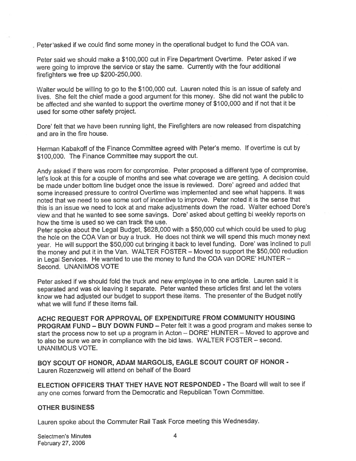Peter asked if we could find some money in the operational budget to fund the COA van.

Peter said we should make <sup>a</sup> \$100,000 cut in Fire Department Overtime. Peter asked if we were going to improve the service or stay the same. Currently with the four additional firefighters we free up \$200-250,000.

Walter would be willing to go to the \$100,000 cut. Lauren noted this is an issue of safety and lives. She felt the chief made <sup>a</sup> goo<sup>d</sup> argumen<sup>t</sup> for this money. She did not want the public to be affected and she wanted to suppor<sup>t</sup> the overtime money of \$100,000 and if not that it be used for some other safety project.

Dore' felt that we have been running light, the Firefighters are now released from dispatching and are in the fire house.

Herman Kabakoff of the Finance Committee agreed with Peter's memo. If overtime is cut by \$100,000. The Finance Committee may suppor<sup>t</sup> the cut.

Andy asked if there was room for compromise. Peter propose<sup>d</sup> <sup>a</sup> different type of compromise, let's look at this for <sup>a</sup> couple of months and see what coverage we are getting. <sup>A</sup> decision could be made under bottom line budget once the issue is reviewed. Dore' agreed and added that some increased pressure to control Overtime was implemented and see what happens. It was noted that we need to see some sort of incentive to improve. Peter noted it is the sense that this is an issue we need to look at and make adjustments down the road. Walter echoed Dore's view and that he wanted to see some savings. Dote' asked about getting bi weekly reports on how the time is used so we can track the use.

Peter spoke about the Legal Budget, \$628,000 with <sup>a</sup> \$50,000 cut which could be used to <sup>p</sup>lug the hole on the COA Van or buy <sup>a</sup> truck. He does not think we will spend this much money next year. He will support the \$50,000 cut bringing it back to level funding. Dore' was inclined to pull the money and pu<sup>t</sup> it in the Van. WALTER FOSTER — Moved to suppor<sup>t</sup> the \$50,000 reduction in Legal Services. He wanted to use the money to fund the COA van DORE' HUNTER — Second. UNANIMOS VOTE

Peter asked if we should fold the truck and new employee in to one article. Lauren said it is separated and was ok leaving it separate. Peter wanted these articles first and let the voters know we had adjusted out budget to suppor<sup>t</sup> these items. The presenter of the Budget notify what we will fund if these items fail.

ACHC REQUEST FOR APPROVAL OF EXPENDITURE FROM COMMUNITY HOUSING PROGRAM FUND — BUY DOWN FUND — Peter felt it was <sup>a</sup> good program and makes sense to start the process now to set up <sup>a</sup> program in Acton — DORE' HUNTER — Moved to approve and to also be sure we are in compliance with the bid laws. WALTER FOSTER — second. UNANIMOUS VOTE.

BOY SCOUT OF HONOR, ADAM MARGOLIS, EAGLE SCOUT COURT OF HONOR - Lauren Rozenzweig will attend on behalf of the Board

ELECTION OFFICERS THAT THEY HAVE NOT RESPONDED - The Board will wait to see if any one comes forward from the Democratic and Republican Town Committee.

#### OTHER BUSINESS

Lauren spoke about the Commuter Rail Task Force meeting this Wednesday.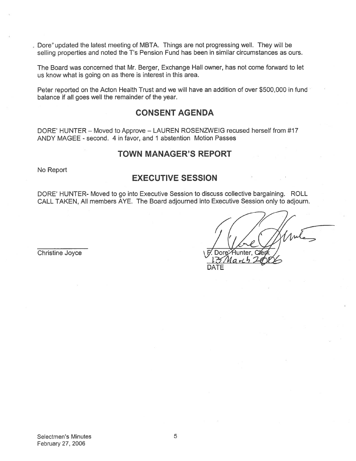. Dore"updated the latest meeting of MBTA. Things are not progressing well. They will be selling properties and noted the T's Pension Fund has been in similar circumstances as ours.

The Board was concerned that Mr. Berger, Exchange Hall owner, has not come forward to let us know what is going on as there is interest in this area.

Peter reported on the Acton Health Trust and we will have an addition of over \$500,000 in fund balance if all goes well the remainder of the year.

## CONSENT AGENDA

DORE' HUNTER — Moved to Approve — LAUREN ROSENZWEIG recused herself from #17 ANDY MAGEE - second. 4 in favor, and 1 abstention Motion Passes

## TOWN MANAGER'S REPORT

No Report

## EXECUTIVE SESSION

DORE' HUNTER- Moved to go into Executive Session to discuss collective bargaining. ROLL CALL TAKEN, All members AYE. The Board adjourned into Executive Session only to adjourn.

Christine Joyce

DATE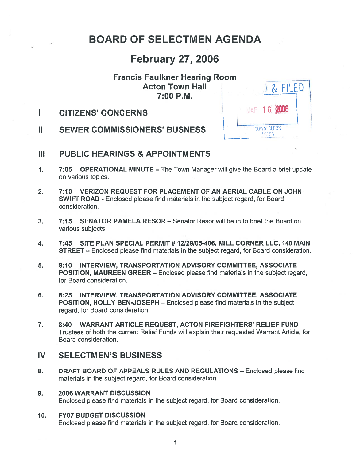# BOARD OF SELECTMEN AGENDA

## February 27, 2006

# Francis Faulkner Hearing Room Acton Town Hall ) 7:00 P.M.

L



- II SEWER COMMISSIONERS' BUSNESS
- III PUBLIC HEARINGS & APPOINTMENTS
- 1. 7:05 OPERATIONAL MINUTE The Town Manager will give the Board <sup>a</sup> brief update on various topics.
- 2. 7:10 VERIZON REQUEST FOR PLACEMENT OF AN AERIAL CABLE ON JOHN SWIFT ROAD - Enclosed please find materials in the subject regard, for Board consideration.
- 3. 7:15 SENATOR PAMELA RESOR— Senator Resor will be in to brief the Board on various subjects.
- 4. 7:45 SITE PLAN SPECIAL PERMIT # 12129105-406, MILL CORNER LLC, 140 MAIN STREET — Enclosed please find materials in the subject regard, for Board consideration.
- 5. 8:10 INTERVIEW, TRANSPORTATION ADVISORY COMMITTEE, ASSOCIATE POSITION, MAUREEN GREER — Enclosed please find materials in the subject regard, for Board consideration.
- 6. 8:25 INTERVIEW, TRANSPORTATION ADVISORY COMMITTEE, ASSOCIATE POSITION, HOLLY BEN-JOSEPH — Enclosed please find materials in the subject regard, for Board consideration.
- 7. 8:40 WARRANT ARTICLE REQUEST, ACTON FIREFIGHTERS' RELIEF FUND Trustees of both the current Relief Funds will explain their requested Warrant Article, for Board consideration.

## IV SELECTMEN'S BUSINESS

- 8. DRAFT BOARD OF APPEALS RULES AND REGULATIONS Enclosed please find materials in the subject regard, for Board consideration.
- 9. 2006 WARRANT DISCUSSION Enclosed please find materials in the subject regard, for Board consideration.

### 10. FY07 BUDGET DISCUSSION

Enclosed please find materials in the subject regard, for Board consideration.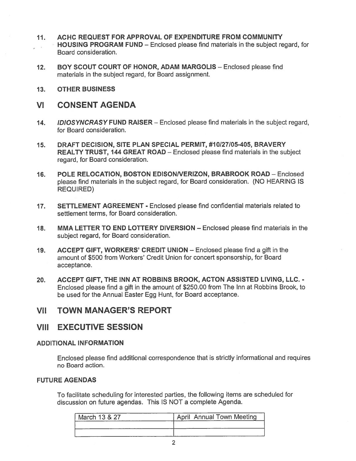- 11. ACHC REQUEST FOR APPROVAL OF EXPENDITURE FROM COMMUNITY HOUSING PROGRAM FUND — Enclosed please find materials in the subject regard, for Board consideration.
- 12. BOY SCOUT COURT OF HONOR, ADAM MARGOLIS Enclosed please find materials in the subject regard, for Board assignment.
- 13. OTHER BUSINESS
- VI CONSENT AGENDA
- 14. IDIOSYNCRASY FUND RAISER Enclosed please find materials in the subject regard, for Board consideration.
- 15. DRAFT DECISION, SITE PLAN SPECIAL PERMIT, #10/27/05-405, BRAVERY REALTY TRUST, 144 GREAT ROAD — Enclosed please find materials in the subject regard, for Board consideration.
- 16. POLE RELOCATION, BOSTON EDISONNERIZON, BRABROOK ROAD Enclosed please find materials in the subject regard, for Board consideration. (NO HEARING IS REQUIRED)
- 17. SETTLEMENT AGREEMENT Enclosed please find confidential materials related to settlement terms, for Board consideration.
- 18. MMA LETTER TO END LOTTERY DIVERSION Enclosed please find materials in the subject regard, for Board consideration.
- 19. ACCEPT GIFT, WORKERS' CREDIT UNION Enclosed please find <sup>a</sup> gift in the amount of \$500 from Workers' Credit Union for concert sponsorship, for Board acceptance.
- 20. ACCEPT GIFT, THE INN AT ROBBINS BROOK, ACTON ASSISTED LIVING, LLC. Enclosed please find <sup>a</sup> gift in the amount of \$250.00 from The Inn at Robbins Brook, to be used for the Annual Easter Egg Hunt, for Board acceptance.

## VII TOWN MANAGER'S REPORT

## VIII EXECUTIVE SESSION

### ADDITIONAL INFORMATION

Enclosed please find additional correspondence that is strictly informational and requires no Board action.

### FUTURE AGENDAS

To facilitate scheduling for interested parties, the following items are scheduled for discussion on future agendas. This IS NOT <sup>a</sup> complete Agenda.

| March 13 & 27 | <b>April Annual Town Meeting</b> |
|---------------|----------------------------------|
|               |                                  |
|               |                                  |